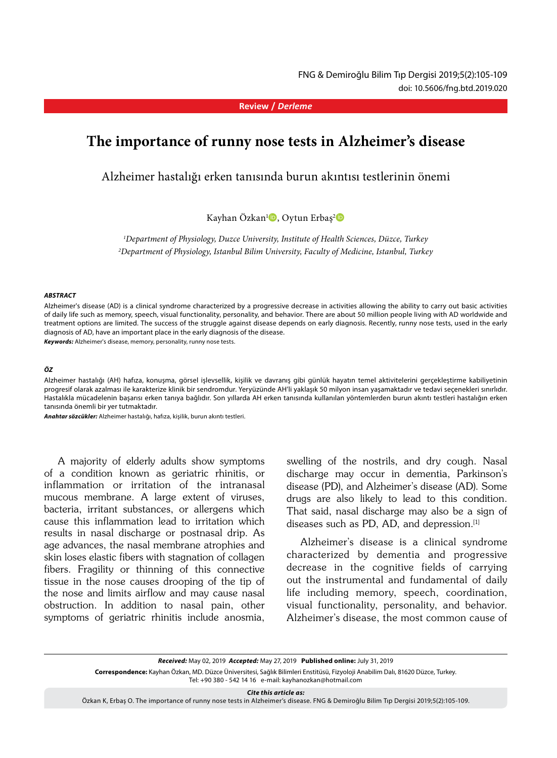**Review /** *Derleme*

# **The importance of runny nose tests in Alzheimer's disease**

Alzheimer hastalığı erken tanısında burun akıntısı testlerinin önemi

Kayhan Özkan<sup>ı</sup><sup>D</sup>, Oytun Erbaş<sup>2</sup>D

*1 Department of Physiology, Duzce University, Institute of Health Sciences, Düzce, Turkey 2 Department of Physiology, Istanbul Bilim University, Faculty of Medicine, Istanbul, Turkey*

#### *ABSTRACT*

Alzheimer's disease (AD) is a clinical syndrome characterized by a progressive decrease in activities allowing the ability to carry out basic activities of daily life such as memory, speech, visual functionality, personality, and behavior. There are about 50 million people living with AD worldwide and treatment options are limited. The success of the struggle against disease depends on early diagnosis. Recently, runny nose tests, used in the early diagnosis of AD, have an important place in the early diagnosis of the disease.

*Keywords:* Alzheimer's disease, memory, personality, runny nose tests.

#### *ÖZ*

Alzheimer hastalığı (AH) hafıza, konuşma, görsel işlevsellik, kişilik ve davranış gibi günlük hayatın temel aktivitelerini gerçekleştirme kabiliyetinin progresif olarak azalması ile karakterize klinik bir sendromdur. Yeryüzünde AH'li yaklaşık 50 milyon insan yaşamaktadır ve tedavi seçenekleri sınırlıdır. Hastalıkla mücadelenin başarısı erken tanıya bağlıdır. Son yıllarda AH erken tanısında kullanılan yöntemlerden burun akıntı testleri hastalığın erken tanısında önemli bir yer tutmaktadır.

*Anahtar sözcükler:* Alzheimer hastalığı, hafıza, kişilik, burun akıntı testleri.

A majority of elderly adults show symptoms of a condition known as geriatric rhinitis, or inflammation or irritation of the intranasal mucous membrane. A large extent of viruses, bacteria, irritant substances, or allergens which cause this inflammation lead to irritation which results in nasal discharge or postnasal drip. As age advances, the nasal membrane atrophies and skin loses elastic fibers with stagnation of collagen fibers. Fragility or thinning of this connective tissue in the nose causes drooping of the tip of the nose and limits airflow and may cause nasal obstruction. In addition to nasal pain, other symptoms of geriatric rhinitis include anosmia, swelling of the nostrils, and dry cough. Nasal discharge may occur in dementia, Parkinson's disease (PD), and Alzheimer's disease (AD). Some drugs are also likely to lead to this condition. That said, nasal discharge may also be a sign of diseases such as PD, AD, and depression.<sup>[1]</sup>

Alzheimer's disease is a clinical syndrome characterized by dementia and progressive decrease in the cognitive fields of carrying out the instrumental and fundamental of daily life including memory, speech, coordination, visual functionality, personality, and behavior. Alzheimer's disease, the most common cause of

*Cite this article as:*

Özkan K, Erbaş O. The importance of runny nose tests in Alzheimer's disease. FNG & Demiroğlu Bilim Tıp Dergisi 2019;5(2):105-109.

*Received:* May 02, 2019 *Accepted:* May 27, 2019 **Published online:** July 31, 2019 **Correspondence:** Kayhan Özkan, MD. Düzce Üniversitesi, Sağlık Bilimleri Enstitüsü, Fizyoloji Anabilim Dalı, 81620 Düzce, Turkey. Tel: +90 380 - 542 14 16 e-mail: kayhanozkan@hotmail.com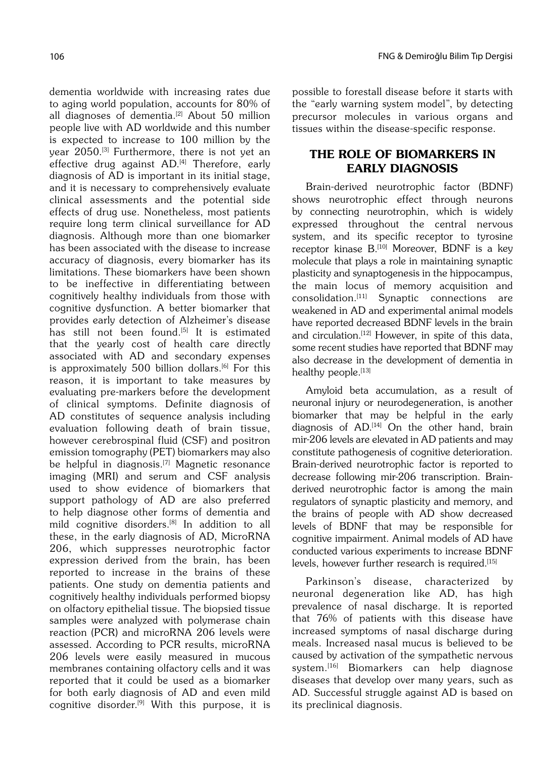dementia worldwide with increasing rates due to aging world population, accounts for 80% of all diagnoses of dementia.<sup>[2]</sup> About 50 million people live with AD worldwide and this number is expected to increase to 100 million by the year 2050.<sup>[3]</sup> Furthermore, there is not yet an effective drug against AD.<sup>[4]</sup> Therefore, early diagnosis of AD is important in its initial stage, and it is necessary to comprehensively evaluate clinical assessments and the potential side effects of drug use. Nonetheless, most patients require long term clinical surveillance for AD diagnosis. Although more than one biomarker has been associated with the disease to increase accuracy of diagnosis, every biomarker has its limitations. These biomarkers have been shown to be ineffective in differentiating between cognitively healthy individuals from those with cognitive dysfunction. A better biomarker that provides early detection of Alzheimer's disease has still not been found.<sup>[5]</sup> It is estimated that the yearly cost of health care directly associated with AD and secondary expenses is approximately 500 billion dollars.<sup>[6]</sup> For this reason, it is important to take measures by evaluating pre-markers before the development of clinical symptoms. Definite diagnosis of AD constitutes of sequence analysis including evaluation following death of brain tissue, however cerebrospinal fluid (CSF) and positron emission tomography (PET) biomarkers may also be helpful in diagnosis.<sup>[7]</sup> Magnetic resonance imaging (MRI) and serum and CSF analysis used to show evidence of biomarkers that support pathology of AD are also preferred to help diagnose other forms of dementia and mild cognitive disorders.[8] In addition to all these, in the early diagnosis of AD, MicroRNA 206, which suppresses neurotrophic factor expression derived from the brain, has been reported to increase in the brains of these patients. One study on dementia patients and cognitively healthy individuals performed biopsy on olfactory epithelial tissue. The biopsied tissue samples were analyzed with polymerase chain reaction (PCR) and microRNA 206 levels were assessed. According to PCR results, microRNA 206 levels were easily measured in mucous membranes containing olfactory cells and it was reported that it could be used as a biomarker for both early diagnosis of AD and even mild cognitive disorder.[9] With this purpose, it is

possible to forestall disease before it starts with the "early warning system model", by detecting precursor molecules in various organs and tissues within the disease-specific response.

### THE ROLE OF BIOMARKERS IN EARLY DIAGNOSIS

Brain-derived neurotrophic factor (BDNF) shows neurotrophic effect through neurons by connecting neurotrophin, which is widely expressed throughout the central nervous system, and its specific receptor to tyrosine receptor kinase B.<sup>[10]</sup> Moreover, BDNF is a key molecule that plays a role in maintaining synaptic plasticity and synaptogenesis in the hippocampus, the main locus of memory acquisition and consolidation.[11] Synaptic connections are weakened in AD and experimental animal models have reported decreased BDNF levels in the brain and circulation.<sup>[12]</sup> However, in spite of this data, some recent studies have reported that BDNF may also decrease in the development of dementia in healthy people.[13]

Amyloid beta accumulation, as a result of neuronal injury or neurodegeneration, is another biomarker that may be helpful in the early diagnosis of  $AD$ .<sup>[14]</sup> On the other hand, brain mir-206 levels are elevated in AD patients and may constitute pathogenesis of cognitive deterioration. Brain-derived neurotrophic factor is reported to decrease following mir-206 transcription. Brainderived neurotrophic factor is among the main regulators of synaptic plasticity and memory, and the brains of people with AD show decreased levels of BDNF that may be responsible for cognitive impairment. Animal models of AD have conducted various experiments to increase BDNF levels, however further research is required.<sup>[15]</sup>

Parkinson's disease, characterized by neuronal degeneration like AD, has high prevalence of nasal discharge. It is reported that 76% of patients with this disease have increased symptoms of nasal discharge during meals. Increased nasal mucus is believed to be caused by activation of the sympathetic nervous system.<sup>[16]</sup> Biomarkers can help diagnose diseases that develop over many years, such as AD. Successful struggle against AD is based on its preclinical diagnosis.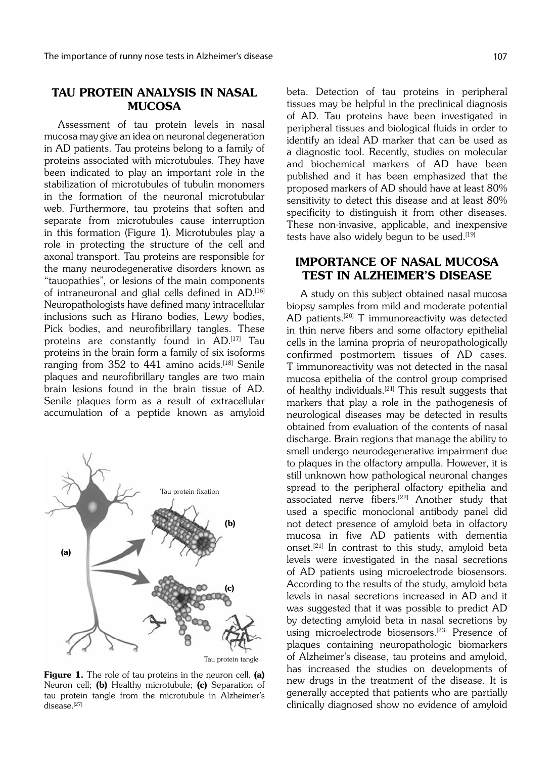### TAU PROTEIN ANALYSIS IN NASAL **MUCOSA**

Assessment of tau protein levels in nasal mucosa may give an idea on neuronal degeneration in AD patients. Tau proteins belong to a family of proteins associated with microtubules. They have been indicated to play an important role in the stabilization of microtubules of tubulin monomers in the formation of the neuronal microtubular web. Furthermore, tau proteins that soften and separate from microtubules cause interruption in this formation (Figure 1). Microtubules play a role in protecting the structure of the cell and axonal transport. Tau proteins are responsible for the many neurodegenerative disorders known as "tauopathies", or lesions of the main components of intraneuronal and glial cells defined in AD.[16] Neuropathologists have defined many intracellular inclusions such as Hirano bodies, Lewy bodies, Pick bodies, and neurofibrillary tangles. These proteins are constantly found in AD.<sup>[17]</sup> Tau proteins in the brain form a family of six isoforms ranging from 352 to 441 amino acids.<sup>[18]</sup> Senile plaques and neurofibrillary tangles are two main brain lesions found in the brain tissue of AD. Senile plaques form as a result of extracellular accumulation of a peptide known as amyloid



Tau protein tangle

Figure 1. The role of tau proteins in the neuron cell. (a) Neuron cell; (b) Healthy microtubule; (c) Separation of tau protein tangle from the microtubule in Alzheimer's disease.[27]

beta. Detection of tau proteins in peripheral tissues may be helpful in the preclinical diagnosis of AD. Tau proteins have been investigated in peripheral tissues and biological fluids in order to identify an ideal AD marker that can be used as a diagnostic tool. Recently, studies on molecular and biochemical markers of AD have been published and it has been emphasized that the proposed markers of AD should have at least 80% sensitivity to detect this disease and at least 80% specificity to distinguish it from other diseases. These non-invasive, applicable, and inexpensive tests have also widely begun to be used.<sup>[19]</sup>

## IMPORTANCE OF NASAL MUCOSA TEST IN ALZHEIMER'S DISEASE

A study on this subject obtained nasal mucosa biopsy samples from mild and moderate potential AD patients.<sup>[20]</sup> T immunoreactivity was detected in thin nerve fibers and some olfactory epithelial cells in the lamina propria of neuropathologically confirmed postmortem tissues of AD cases. T immunoreactivity was not detected in the nasal mucosa epithelia of the control group comprised of healthy individuals.<sup>[21]</sup> This result suggests that markers that play a role in the pathogenesis of neurological diseases may be detected in results obtained from evaluation of the contents of nasal discharge. Brain regions that manage the ability to smell undergo neurodegenerative impairment due to plaques in the olfactory ampulla. However, it is still unknown how pathological neuronal changes spread to the peripheral olfactory epithelia and associated nerve fibers.[22] Another study that used a specific monoclonal antibody panel did not detect presence of amyloid beta in olfactory mucosa in five AD patients with dementia onset.[21] In contrast to this study, amyloid beta levels were investigated in the nasal secretions of AD patients using microelectrode biosensors. According to the results of the study, amyloid beta levels in nasal secretions increased in AD and it was suggested that it was possible to predict AD by detecting amyloid beta in nasal secretions by using microelectrode biosensors.<sup>[23]</sup> Presence of plaques containing neuropathologic biomarkers of Alzheimer's disease, tau proteins and amyloid, has increased the studies on developments of new drugs in the treatment of the disease. It is generally accepted that patients who are partially clinically diagnosed show no evidence of amyloid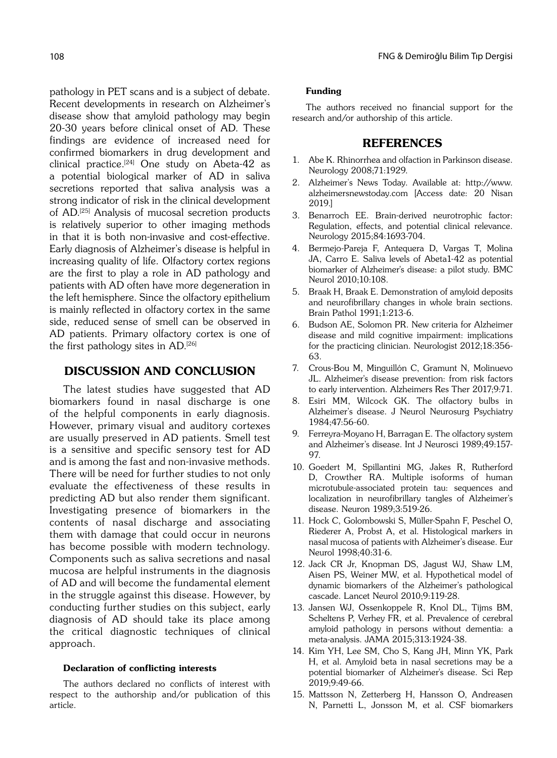pathology in PET scans and is a subject of debate. Recent developments in research on Alzheimer's disease show that amyloid pathology may begin 20-30 years before clinical onset of AD. These findings are evidence of increased need for confirmed biomarkers in drug development and clinical practice.<sup>[24]</sup> One study on Abeta-42 as a potential biological marker of AD in saliva secretions reported that saliva analysis was a strong indicator of risk in the clinical development of AD.[25] Analysis of mucosal secretion products is relatively superior to other imaging methods in that it is both non-invasive and cost-effective. Early diagnosis of Alzheimer's disease is helpful in increasing quality of life. Olfactory cortex regions are the first to play a role in AD pathology and patients with AD often have more degeneration in the left hemisphere. Since the olfactory epithelium is mainly reflected in olfactory cortex in the same side, reduced sense of smell can be observed in AD patients. Primary olfactory cortex is one of the first pathology sites in AD.[26]

### DISCUSSION AND CONCLUSION

The latest studies have suggested that AD biomarkers found in nasal discharge is one of the helpful components in early diagnosis. However, primary visual and auditory cortexes are usually preserved in AD patients. Smell test is a sensitive and specific sensory test for AD and is among the fast and non-invasive methods. There will be need for further studies to not only evaluate the effectiveness of these results in predicting AD but also render them significant. Investigating presence of biomarkers in the contents of nasal discharge and associating them with damage that could occur in neurons has become possible with modern technology. Components such as saliva secretions and nasal mucosa are helpful instruments in the diagnosis of AD and will become the fundamental element in the struggle against this disease. However, by conducting further studies on this subject, early diagnosis of AD should take its place among the critical diagnostic techniques of clinical approach.

#### Declaration of conflicting interests

The authors declared no conflicts of interest with respect to the authorship and/or publication of this article.

#### Funding

The authors received no financial support for the research and/or authorship of this article.

### REFERENCES

- 1. Abe K. Rhinorrhea and olfaction in Parkinson disease. Neurology 2008;71:1929.
- 2. Alzheimer's News Today. Available at: http://www. alzheimersnewstoday.com [Access date: 20 Nisan 2019.]
- 3. Benarroch EE. Brain-derived neurotrophic factor: Regulation, effects, and potential clinical relevance. Neurology 2015;84:1693-704.
- 4. Bermejo-Pareja F, Antequera D, Vargas T, Molina JA, Carro E. Saliva levels of Abeta1-42 as potential biomarker of Alzheimer's disease: a pilot study. BMC Neurol 2010;10:108.
- 5. Braak H, Braak E. Demonstration of amyloid deposits and neurofibrillary changes in whole brain sections. Brain Pathol 1991;1:213-6.
- 6. Budson AE, Solomon PR. New criteria for Alzheimer disease and mild cognitive impairment: implications for the practicing clinician. Neurologist 2012;18:356- 63.
- 7. Crous-Bou M, Minguillón C, Gramunt N, Molinuevo JL. Alzheimer's disease prevention: from risk factors to early intervention. Alzheimers Res Ther 2017;9:71.
- 8. Esiri MM, Wilcock GK. The olfactory bulbs in Alzheimer's disease. J Neurol Neurosurg Psychiatry 1984;47:56-60.
- 9. Ferreyra-Moyano H, Barragan E. The olfactory system and Alzheimer's disease. Int J Neurosci 1989;49:157- 97.
- 10. Goedert M, Spillantini MG, Jakes R, Rutherford D, Crowther RA. Multiple isoforms of human microtubule-associated protein tau: sequences and localization in neurofibrillary tangles of Alzheimer's disease. Neuron 1989;3:519-26.
- 11. Hock C, Golombowski S, Müller-Spahn F, Peschel O, Riederer A, Probst A, et al. Histological markers in nasal mucosa of patients with Alzheimer's disease. Eur Neurol 1998;40:31-6.
- 12. Jack CR Jr, Knopman DS, Jagust WJ, Shaw LM, Aisen PS, Weiner MW, et al. Hypothetical model of dynamic biomarkers of the Alzheimer's pathological cascade. Lancet Neurol 2010;9:119-28.
- 13. Jansen WJ, Ossenkoppele R, Knol DL, Tijms BM, Scheltens P, Verhey FR, et al. Prevalence of cerebral amyloid pathology in persons without dementia: a meta-analysis. JAMA 2015;313:1924-38.
- 14. Kim YH, Lee SM, Cho S, Kang JH, Minn YK, Park H, et al. Amyloid beta in nasal secretions may be a potential biomarker of Alzheimer's disease. Sci Rep 2019;9:49-66.
- 15. Mattsson N, Zetterberg H, Hansson O, Andreasen N, Parnetti L, Jonsson M, et al. CSF biomarkers